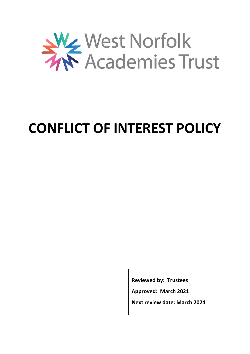

# **CONFLICT OF INTEREST POLICY**

**Reviewed by: Trustees**

**Approved: March 2021**

**Next review date: March 2024**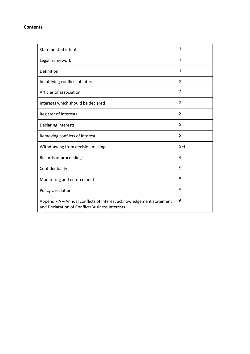#### **Contents**

| Statement of intent                                                                                                   | 1              |
|-----------------------------------------------------------------------------------------------------------------------|----------------|
| Legal framework                                                                                                       | 1              |
| Definition                                                                                                            | 1              |
| Identifying conflicts of interest                                                                                     | 2              |
| Articles of association                                                                                               | $\overline{2}$ |
| Interests which should be declared                                                                                    | $\overline{2}$ |
| Register of interests                                                                                                 | 2              |
| Declaring interests                                                                                                   | 3              |
| Removing conflicts of interest                                                                                        | 3              |
| Withdrawing from decision making                                                                                      | $3 - 4$        |
| Records of proceedings                                                                                                | 4              |
| Confidentiality                                                                                                       | 5              |
| Monitoring and enforcement                                                                                            | 5              |
| Policy circulation                                                                                                    | 5              |
| Appendix A - Annual conflicts of interest acknowledgement statement<br>and Declaration of Conflict/Business Interests | 6              |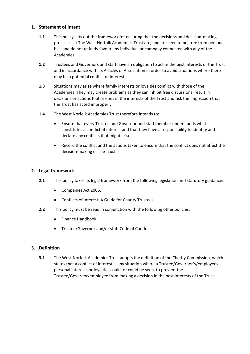#### **1. Statement of Intent**

- **1.1** This policy sets out the framework for ensuring that the decisions and decision-making processes at The West Norfolk Academies Trust are, and are seen to be, free from personal bias and do not unfairly favour any individual or company connected with any of the Academies.
- **1.2** Trustees and Governors and staff have an obligation to act in the best interests of the Trust and in accordance with its Articles of Association in order to avoid situations where there may be a potential conflict of interest.
- **1.3** Situations may arise where family interests or loyalties conflict with those of the Academies. They may create problems as they can inhibit free discussions, result in decisions or actions that are not in the interests of the Trust and risk the impression that the Trust has acted improperly.
- **1.4** The West Norfolk Academies Trust therefore intends to:
	- Ensure that every Trustee and Governor and staff member understands what constitutes a conflict of interest and that they have a responsibility to identify and declare any conflicts that might arise.
	- Record the conflict and the actions taken to ensure that the conflict does not affect the decision-making of The Trust.

#### **2. Legal framework**

- **2.1** This policy takes its legal framework from the following legislation and statutory guidance:
	- Companies Act 2006.
	- Conflicts of Interest: A Guide for Charity Trustees.
- **2.2** This policy must be read in conjunction with the following other policies:
	- Finance Handbook.
	- Trustee/Governor and/or staff Code of Conduct.

#### **3. Definition**

**3.1** The West Norfolk Academies Trust adopts the definition of the Charity Commission, which states that a conflict of interest is any situation where a Trustee/Governor's/employees personal interests or loyalties could, or could be seen, to prevent the Trustee/Governor/employee from making a decision in the best interests of the Trust.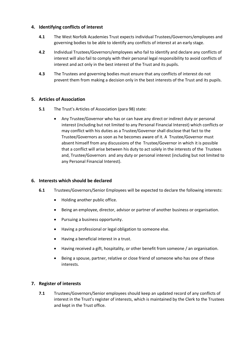#### **4. Identifying conflicts of interest**

- **4.1** The West Norfolk Academies Trust expects individual Trustees/Governors/employees and governing bodies to be able to identify any conflicts of interest at an early stage.
- **4.2** Individual Trustees/Governors/employees who fail to identify and declare any conflicts of interest will also fail to comply with their personal legal responsibility to avoid conflicts of interest and act only in the best interest of the Trust and its pupils.
- **4.3** The Trustees and governing bodies must ensure that any conflicts of interest do not prevent them from making a decision only in the best interests of the Trust and its pupils.

#### **5. Articles of Association**

- **5.1** The Trust's Articles of Association (para 98) state:
	- Any Trustee/Governor who has or can have any direct or indirect duty or personal interest (including but not limited to any Personal Financial Interest) which conflicts or may conflict with his duties as a Trustee/Governor shall disclose that fact to the Trustee/Governors as soon as he becomes aware of it. A Trustee/Governor must absent himself from any discussions of the Trustee/Governor in which it is possible that a conflict will arise between his duty to act solely in the interests of the Trustees and, Trustee/Governors and any duty or personal interest (including but not limited to any Personal Financial Interest).

#### **6. Interests which should be declared**

- **6.1** Trustees/Governors/Senior Employees will be expected to declare the following interests:
	- Holding another public office.
	- Being an employee, director, advisor or partner of another business or organisation.
	- Pursuing a business opportunity.
	- Having a professional or legal obligation to someone else.
	- Having a beneficial interest in a trust.
	- Having received a gift, hospitality, or other benefit from someone / an organisation.
	- Being a spouse, partner, relative or close friend of someone who has one of these interests.

#### **7. Register of interests**

**7.1** Trustees/Governors/Senior employees should keep an updated record of any conflicts of interest in the Trust's register of interests, which is maintained by the Clerk to the Trustees and kept in the Trust office.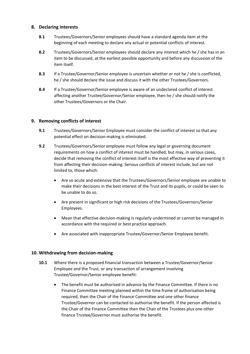#### **8. Declaring interests**

- **8.1** Trustees/Governors/Senior employees should have a standard agenda item at the beginning of each meeting to declare any actual or potential conflicts of interest.
- **8.2** Trustees/Governors/Senior employees should declare any interest which he / she has in an item to be discussed, at the earliest possible opportunity and before any discussion of the item itself.
- **8.3** If a Trustee/Governor/Senior employee is uncertain whether or not he / she is conflicted, he / she should declare the issue and discuss it with the other Trustees/Governors.
- **8.4** If a Trustee/Governor/Senior employee is aware of an undeclared conflict of interest affecting another Trustee/Governor/Senior employee, then he / she should notify the other Trustees/Governors or the Chair.

#### **9. Removing conflicts of interest**

- **9.1** Trustees/Governors/Senior Employee must consider the conflict of interest so that any potential effect on decision-making is eliminated.
- **9.2** Trustees/Governors/Senior employee must follow any legal or governing document requirements on how a conflict of interest must be handled, but may, in serious cases, decide that removing the conflict of interest itself is the most effective way of preventing it from affecting their decision-making. Serious conflicts of interest include, but are not limited to, those which:
	- Are so acute and extensive that the Trustees/Governors/Senior employee are unable to make their decisions in the best interest of the Trust and its pupils, or could be seen to be unable to do so.
	- Are present in significant or high risk decisions of the Trustees/Governors/Senior Employees.
	- Mean that effective decision-making is regularly undermined or cannot be managed in accordance with the required or best practice approach.
	- Are associated with inappropriate Trustee/Governor/Senior Employee benefit.

#### **10. Withdrawing from decision-making**

- **10.1** Where there is a proposed financial transaction between a Trustee/Governor/Senior Employee and the Trust, or any transaction of arrangement involving Trustee/Governor/Senior employee benefit:
	- The benefit must be authorised in advance by the Finance Committee. If there is no Finance Committee meeting planned within the time frame of authorisation being required, then the Chair of the Finance Committee and one other finance Trustee/Governor can be contacted to authorise the benefit. If the person affected is the Chair of the Finance Committee then the Chair of the Trustees plus one other finance Trustee/Governor must authorise the benefit.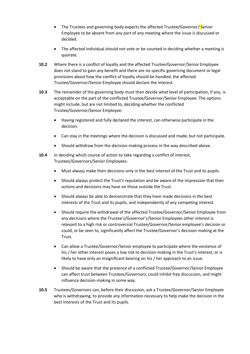- The Trustees and governing body expects the affected Trustee/Governor/ Senior Employee to be absent from any part of any meeting where the issue is discussed or decided.
- The affected individual should not vote or be counted in deciding whether a meeting is quorate.
- **10.2** Where there is a conflict of loyalty and the affected Trustee/Governor/Senior Employee does not stand to gain any benefit and there are no specific governing document or legal provisions about how the conflict of loyalty should be handled, the affected Trustee/Governor/Senior Employee should declare the interest.
- **10.3** The remainder of the governing body must then decide what level of participation, if any, is acceptable on the part of the conflicted Trustee/Governor/Senior Employee. The options might include, but are not limited to, deciding whether the conflicted Trustee/Governor/Senior Employee:
	- Having registered and fully declared the interest, can otherwise participate in the decision.
	- Can stay in the meetings where the decision is discussed and made, but not participate.
	- Should withdraw from the decision-making process in the way described above.
- **10.4** In deciding which course of action to take regarding a conflict of interest, Trustees/Governors/Senior Employees:
	- Must always make their decisions only in the best interest of the Trust and its pupils.
	- Should always protect the Trust's reputation and be aware of the impression that their actions and decisions may have on those outside the Trust.
	- Should always be able to demonstrate that they have made decisions in the best interests of the Trust and its pupils, and independently of any competing interest.
	- Should require the withdrawal of the affected Trustee/Governor/Senior Employee from any decisions where the Trustee's/Governor's/Senior Employees other interest is relevant to a high risk or controversial Trustee/Governor/Senior employee's decision or could, or be seen to, significantly affect the Trustee/Governor's decision-making at the Trust.
	- Can allow a Trustee/Governor/Senior employee to participate where the existence of his / her other interest poses a low risk to decision-making in the Trust's interest, or is likely to have only an insignificant bearing on his / her approach to an issue.
	- Should be aware that the presence of a conflicted Trustee/Governor/Senior Employee can affect trust between Trustees/Governors, could inhibit free discussion, and might influence decision-making in some way.
- **10.5** Trustees/Governors can, before their discussion, ask a Trustee/Governor/Senior Employee who is withdrawing, to provide any information necessary to help make the decision in the best interests of the Trust and its pupils.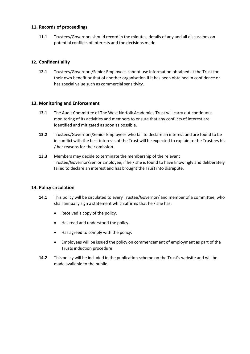#### **11. Records of proceedings**

**11.1** Trustees/Governors should record in the minutes, details of any and all discussions on potential conflicts of interests and the decisions made.

#### **12. Confidentiality**

**12.1** Trustees/Governors/Senior Employees cannot use information obtained at the Trust for their own benefit or that of another organisation if it has been obtained in confidence or has special value such as commercial sensitivity.

#### **13. Monitoring and Enforcement**

- **13.1** The Audit Committee of The West Norfolk Academies Trust will carry out continuous monitoring of its activities and members to ensure that any conflicts of interest are identified and mitigated as soon as possible.
- **13.2** Trustees/Governors/Senior Employees who fail to declare an interest and are found to be in conflict with the best interests of the Trust will be expected to explain to the Trustees his / her reasons for their omission.
- **13.3** Members may decide to terminate the membership of the relevant Trustee/Governor/Senior Employee, if he / she is found to have knowingly and deliberately failed to declare an interest and has brought the Trust into disrepute.

#### **14. Policy circulation**

- **14.1** This policy will be circulated to every Trustee/Governor/ and member of a committee, who shall annually sign a statement which affirms that he / she has:
	- Received a copy of the policy.
	- Has read and understood the policy.
	- Has agreed to comply with the policy.
	- Employees will be issued the policy on commencement of employment as part of the Trusts induction procedure
- **14.2** This policy will be included in the publication scheme on the Trust's website and will be made available to the public.